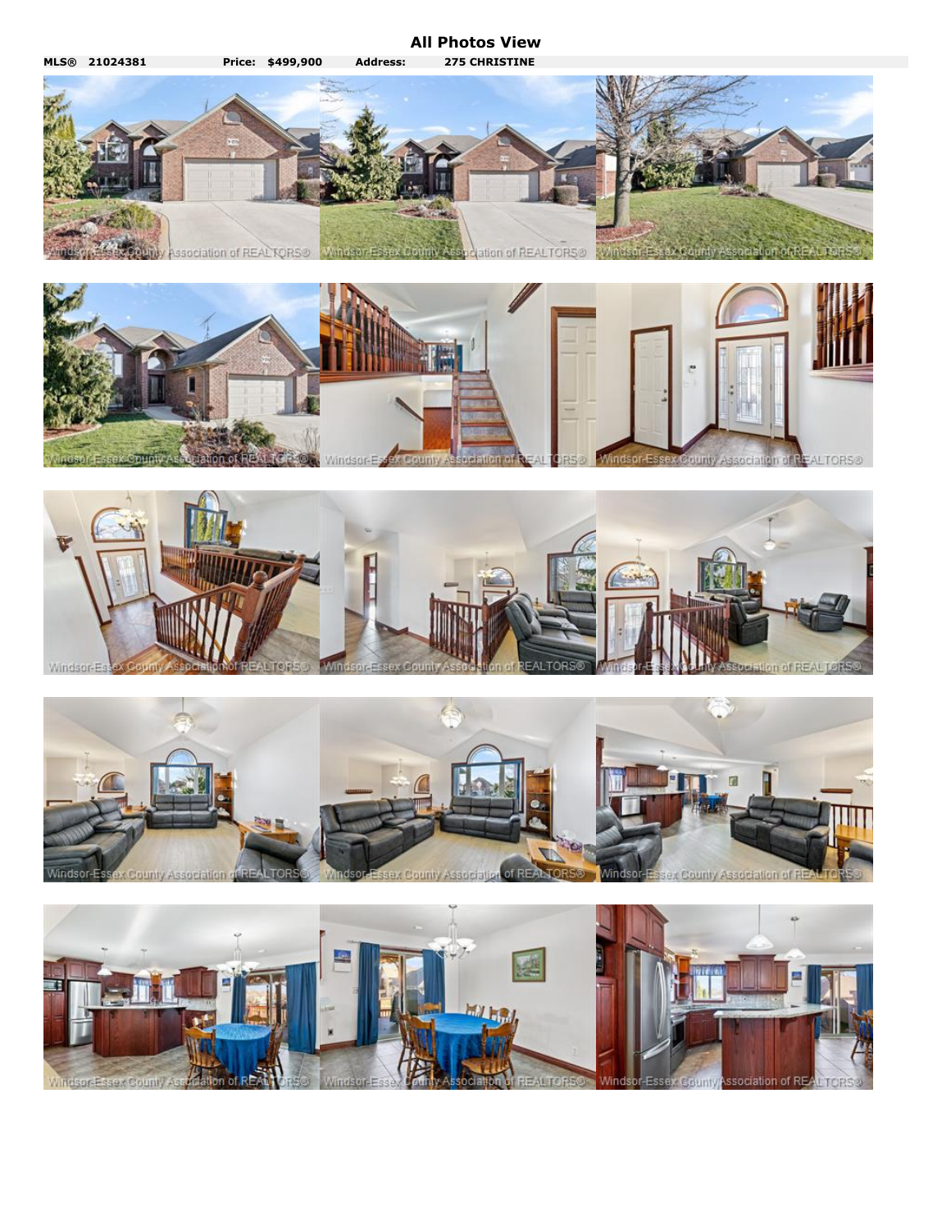## **All Photos View**<br>
275 CHRISTINE **MLS® 21024381 Price: \$499,900 Address: 275 CHRISTINE**ssociation of REALTORS® quation of REALTORS® **Mindson Ess Windscript**







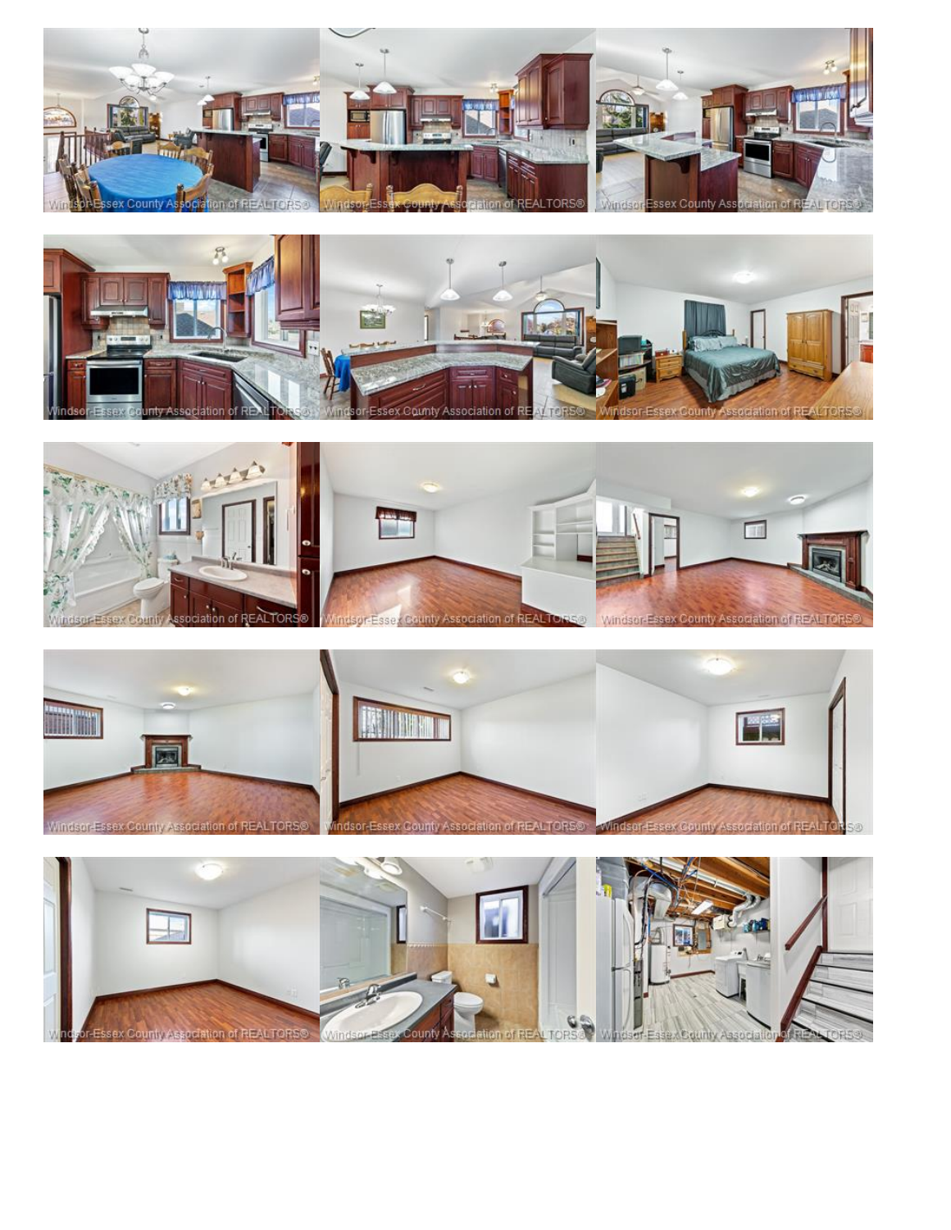







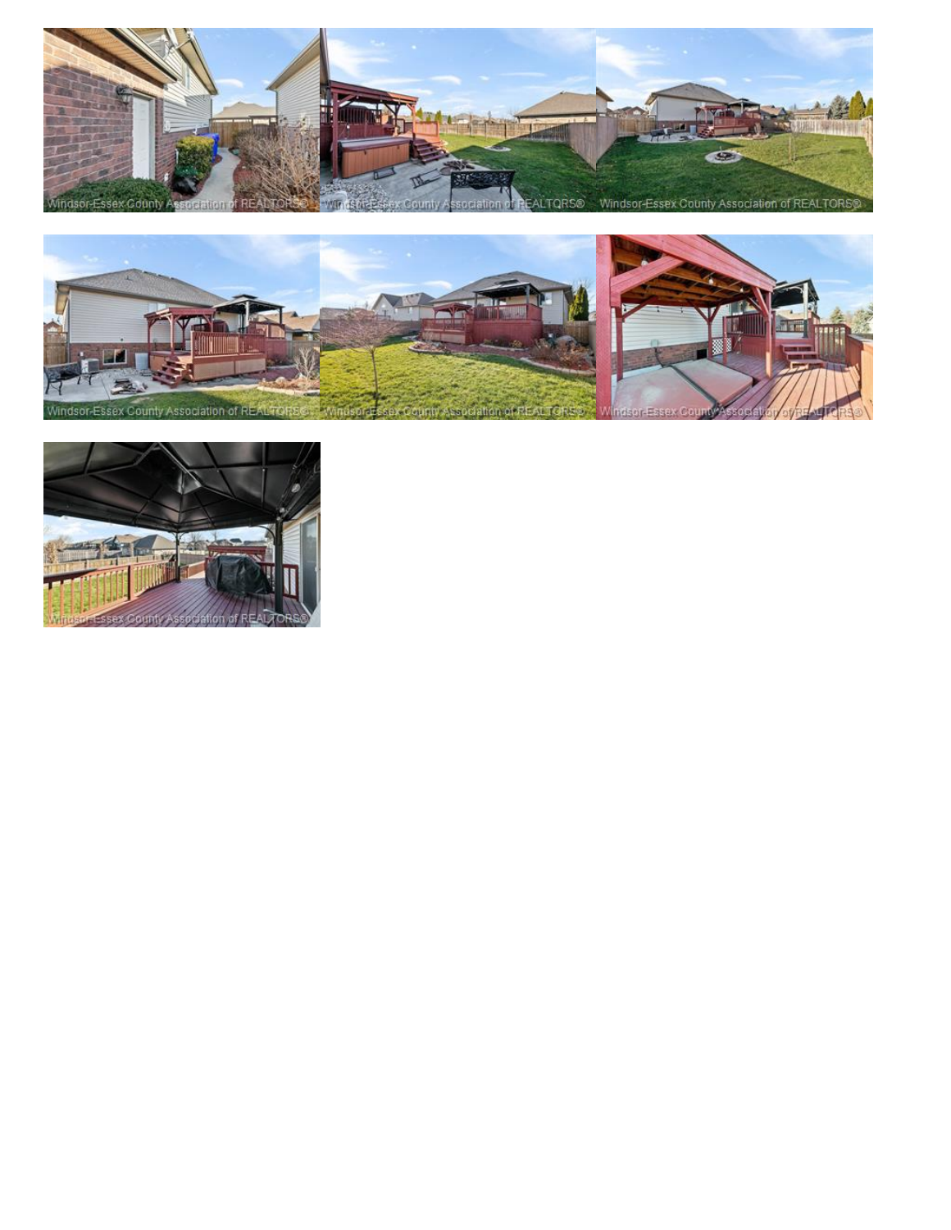